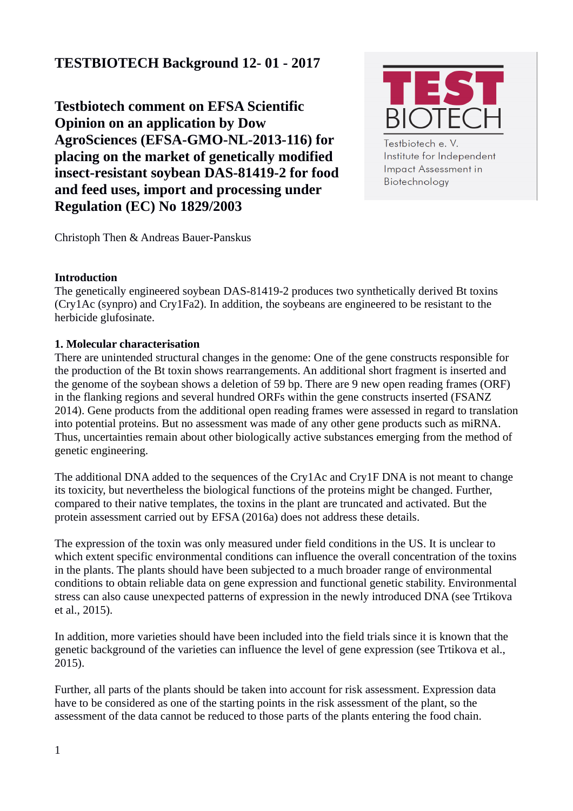# **TESTBIOTECH Background 12- 01 - 2017**

**Testbiotech comment on EFSA Scientific Opinion on an application by Dow AgroSciences (EFSA-GMO-NL-2013-116) for placing on the market of genetically modified insect-resistant soybean DAS-81419-2 for food and feed uses, import and processing under Regulation (EC) No 1829/2003**



Testbiotech e. V. Institute for Independent **Impact Assessment in** Biotechnology

Christoph Then & Andreas Bauer-Panskus

#### **Introduction**

The genetically engineered soybean DAS-81419-2 produces two synthetically derived Bt toxins (Cry1Ac (synpro) and Cry1Fa2). In addition, the soybeans are engineered to be resistant to the herbicide glufosinate.

#### **1. Molecular characterisation**

There are unintended structural changes in the genome: One of the gene constructs responsible for the production of the Bt toxin shows rearrangements. An additional short fragment is inserted and the genome of the soybean shows a deletion of 59 bp. There are 9 new open reading frames (ORF) in the flanking regions and several hundred ORFs within the gene constructs inserted (FSANZ 2014). Gene products from the additional open reading frames were assessed in regard to translation into potential proteins. But no assessment was made of any other gene products such as miRNA. Thus, uncertainties remain about other biologically active substances emerging from the method of genetic engineering.

The additional DNA added to the sequences of the Cry1Ac and Cry1F DNA is not meant to change its toxicity, but nevertheless the biological functions of the proteins might be changed. Further, compared to their native templates, the toxins in the plant are truncated and activated. But the protein assessment carried out by EFSA (2016a) does not address these details.

The expression of the toxin was only measured under field conditions in the US. It is unclear to which extent specific environmental conditions can influence the overall concentration of the toxins in the plants. The plants should have been subjected to a much broader range of environmental conditions to obtain reliable data on gene expression and functional genetic stability. Environmental stress can also cause unexpected patterns of expression in the newly introduced DNA (see Trtikova et al., 2015).

In addition, more varieties should have been included into the field trials since it is known that the genetic background of the varieties can influence the level of gene expression (see Trtikova et al., 2015).

Further, all parts of the plants should be taken into account for risk assessment. Expression data have to be considered as one of the starting points in the risk assessment of the plant, so the assessment of the data cannot be reduced to those parts of the plants entering the food chain.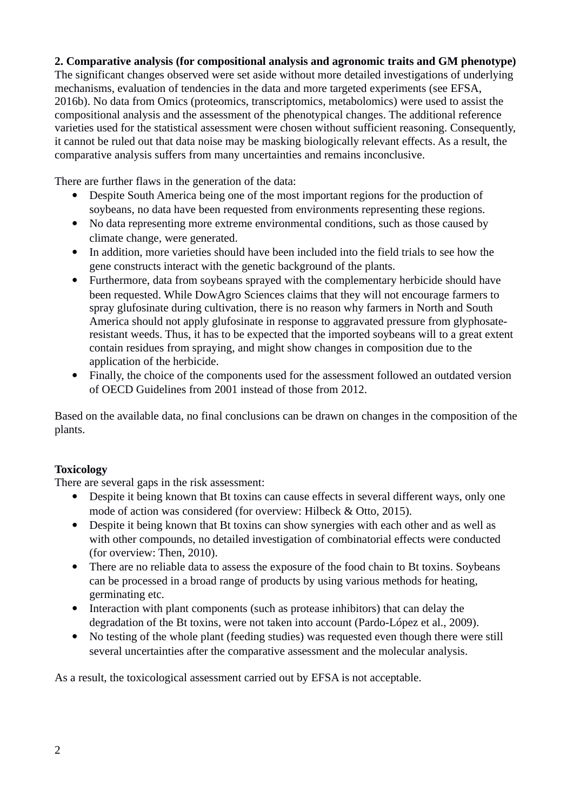#### **2. Comparative analysis (for compositional analysis and agronomic traits and GM phenotype)**

The significant changes observed were set aside without more detailed investigations of underlying mechanisms, evaluation of tendencies in the data and more targeted experiments (see EFSA, 2016b). No data from Omics (proteomics, transcriptomics, metabolomics) were used to assist the compositional analysis and the assessment of the phenotypical changes. The additional reference varieties used for the statistical assessment were chosen without sufficient reasoning. Consequently, it cannot be ruled out that data noise may be masking biologically relevant effects. As a result, the comparative analysis suffers from many uncertainties and remains inconclusive.

There are further flaws in the generation of the data:

- Despite South America being one of the most important regions for the production of soybeans, no data have been requested from environments representing these regions.
- No data representing more extreme environmental conditions, such as those caused by climate change, were generated.
- In addition, more varieties should have been included into the field trials to see how the gene constructs interact with the genetic background of the plants.
- Furthermore, data from soybeans sprayed with the complementary herbicide should have been requested. While DowAgro Sciences claims that they will not encourage farmers to spray glufosinate during cultivation, there is no reason why farmers in North and South America should not apply glufosinate in response to aggravated pressure from glyphosateresistant weeds. Thus, it has to be expected that the imported soybeans will to a great extent contain residues from spraying, and might show changes in composition due to the application of the herbicide.
- Finally, the choice of the components used for the assessment followed an outdated version of OECD Guidelines from 2001 instead of those from 2012.

Based on the available data, no final conclusions can be drawn on changes in the composition of the plants.

#### **Toxicology**

There are several gaps in the risk assessment:

- Despite it being known that Bt toxins can cause effects in several different ways, only one mode of action was considered (for overview: Hilbeck & Otto, 2015).
- Despite it being known that Bt toxins can show synergies with each other and as well as with other compounds, no detailed investigation of combinatorial effects were conducted (for overview: Then, 2010).
- There are no reliable data to assess the exposure of the food chain to Bt toxins. Soybeans can be processed in a broad range of products by using various methods for heating, germinating etc.
- Interaction with plant components (such as protease inhibitors) that can delay the degradation of the Bt toxins, were not taken into account (Pardo-López et al., 2009).
- No testing of the whole plant (feeding studies) was requested even though there were still several uncertainties after the comparative assessment and the molecular analysis.

As a result, the toxicological assessment carried out by EFSA is not acceptable.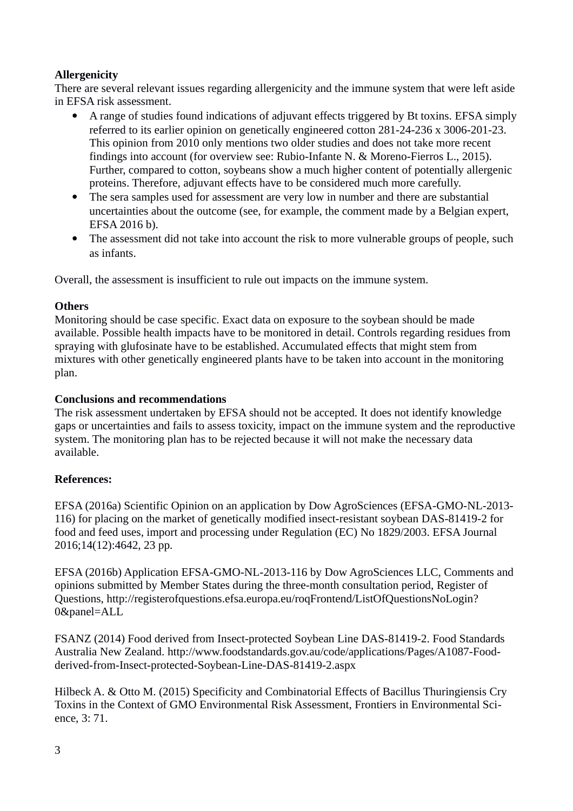### **Allergenicity**

There are several relevant issues regarding allergenicity and the immune system that were left aside in EFSA risk assessment.

- A range of studies found indications of adjuvant effects triggered by Bt toxins. EFSA simply referred to its earlier opinion on genetically engineered cotton 281-24-236 x 3006-201-23. This opinion from 2010 only mentions two older studies and does not take more recent findings into account (for overview see: Rubio-Infante N. & Moreno-Fierros L., 2015). Further, compared to cotton, soybeans show a much higher content of potentially allergenic proteins. Therefore, adjuvant effects have to be considered much more carefully.
- The sera samples used for assessment are very low in number and there are substantial uncertainties about the outcome (see, for example, the comment made by a Belgian expert, EFSA 2016 b).
- The assessment did not take into account the risk to more vulnerable groups of people, such as infants.

Overall, the assessment is insufficient to rule out impacts on the immune system.

### **Others**

Monitoring should be case specific. Exact data on exposure to the soybean should be made available. Possible health impacts have to be monitored in detail. Controls regarding residues from spraying with glufosinate have to be established. Accumulated effects that might stem from mixtures with other genetically engineered plants have to be taken into account in the monitoring plan.

### **Conclusions and recommendations**

The risk assessment undertaken by EFSA should not be accepted. It does not identify knowledge gaps or uncertainties and fails to assess toxicity, impact on the immune system and the reproductive system. The monitoring plan has to be rejected because it will not make the necessary data available.

## **References:**

EFSA (2016a) Scientific Opinion on an application by Dow AgroSciences (EFSA-GMO-NL-2013- 116) for placing on the market of genetically modified insect-resistant soybean DAS-81419-2 for food and feed uses, import and processing under Regulation (EC) No 1829/2003. EFSA Journal 2016;14(12):4642, 23 pp.

EFSA (2016b) Application EFSA-GMO-NL-2013-116 by Dow AgroSciences LLC, Comments and opinions submitted by Member States during the three-month consultation period, Register of Questions, http://registerofquestions.efsa.europa.eu/roqFrontend/ListOfQuestionsNoLogin? 0&panel=ALL

FSANZ (2014) Food derived from Insect-protected Soybean Line DAS-81419-2. Food Standards Australia New Zealand. http://www.foodstandards.gov.au/code/applications/Pages/A1087-Foodderived-from-Insect-protected-Soybean-Line-DAS-81419-2.aspx

Hilbeck A. & Otto M. (2015) Specificity and Combinatorial Effects of Bacillus Thuringiensis Cry Toxins in the Context of GMO Environmental Risk Assessment, Frontiers in Environmental Science, 3: 71.